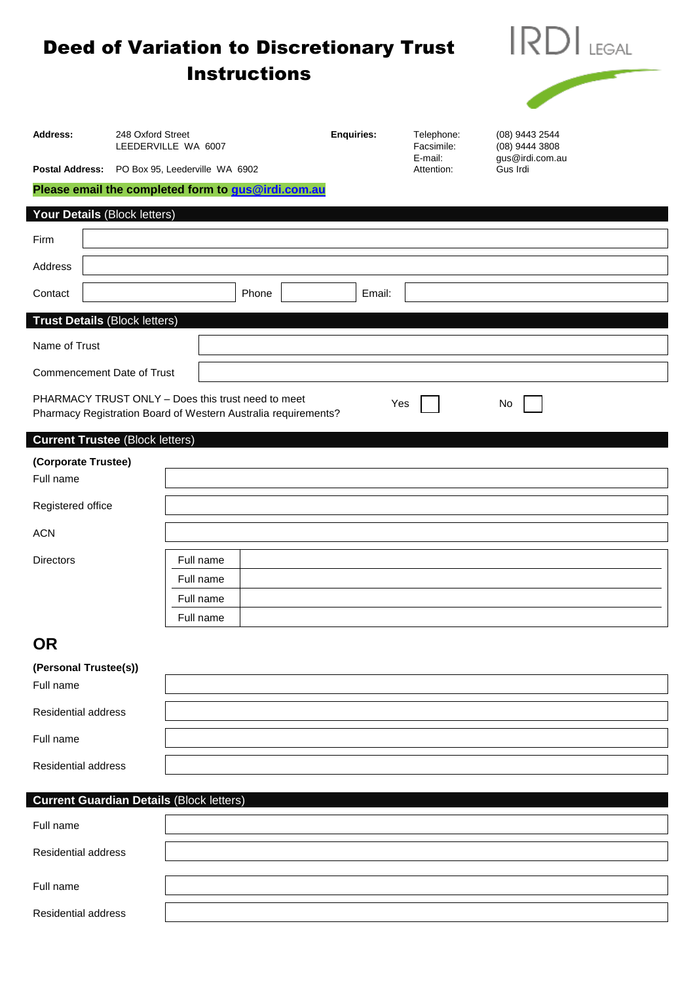|                                                 |                                          | <b>Instructions</b>                                                                                                  | <b>Deed of Variation to Discretionary Trust</b> |                          | <b>LEGAL</b>                     |  |
|-------------------------------------------------|------------------------------------------|----------------------------------------------------------------------------------------------------------------------|-------------------------------------------------|--------------------------|----------------------------------|--|
| Address:                                        | 248 Oxford Street<br>LEEDERVILLE WA 6007 |                                                                                                                      | <b>Enquiries:</b>                               | Telephone:<br>Facsimile: | (08) 9443 2544<br>(08) 9444 3808 |  |
| <b>Postal Address:</b>                          |                                          | PO Box 95, Leederville WA 6902                                                                                       |                                                 | E-mail:<br>Attention:    | gus@irdi.com.au<br>Gus Irdi      |  |
|                                                 |                                          | Please email the completed form to gus@irdi.com.au                                                                   |                                                 |                          |                                  |  |
| Your Details (Block letters)                    |                                          |                                                                                                                      |                                                 |                          |                                  |  |
| Firm                                            |                                          |                                                                                                                      |                                                 |                          |                                  |  |
| Address                                         |                                          |                                                                                                                      |                                                 |                          |                                  |  |
| Contact                                         |                                          | Phone                                                                                                                | Email:                                          |                          |                                  |  |
| <b>Trust Details (Block letters)</b>            |                                          |                                                                                                                      |                                                 |                          |                                  |  |
| Name of Trust                                   |                                          |                                                                                                                      |                                                 |                          |                                  |  |
| Commencement Date of Trust                      |                                          |                                                                                                                      |                                                 |                          |                                  |  |
|                                                 |                                          | PHARMACY TRUST ONLY - Does this trust need to meet<br>Pharmacy Registration Board of Western Australia requirements? |                                                 | Yes                      | No                               |  |
| <b>Current Trustee (Block letters)</b>          |                                          |                                                                                                                      |                                                 |                          |                                  |  |
| (Corporate Trustee)<br>Full name                |                                          |                                                                                                                      |                                                 |                          |                                  |  |
| Registered office                               |                                          |                                                                                                                      |                                                 |                          |                                  |  |
| <b>ACN</b>                                      |                                          |                                                                                                                      |                                                 |                          |                                  |  |
| <b>Directors</b>                                |                                          | Full name                                                                                                            |                                                 |                          |                                  |  |
|                                                 |                                          | Full name                                                                                                            |                                                 |                          |                                  |  |
|                                                 |                                          | Full name                                                                                                            |                                                 |                          |                                  |  |
|                                                 |                                          | Full name                                                                                                            |                                                 |                          |                                  |  |
| <b>OR</b>                                       |                                          |                                                                                                                      |                                                 |                          |                                  |  |
| (Personal Trustee(s))<br>Full name              |                                          |                                                                                                                      |                                                 |                          |                                  |  |
| Residential address                             |                                          |                                                                                                                      |                                                 |                          |                                  |  |
| Full name                                       |                                          |                                                                                                                      |                                                 |                          |                                  |  |
| Residential address                             |                                          |                                                                                                                      |                                                 |                          |                                  |  |
| <b>Current Guardian Details (Block letters)</b> |                                          |                                                                                                                      |                                                 |                          |                                  |  |
| Full name                                       |                                          |                                                                                                                      |                                                 |                          |                                  |  |
| Residential address                             |                                          |                                                                                                                      |                                                 |                          |                                  |  |
|                                                 |                                          |                                                                                                                      |                                                 |                          |                                  |  |
| Full name                                       |                                          |                                                                                                                      |                                                 |                          |                                  |  |
| Residential address                             |                                          |                                                                                                                      |                                                 |                          |                                  |  |